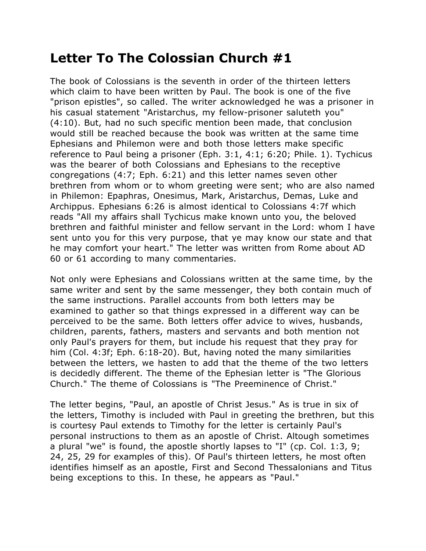## **Letter To The Colossian Church #1**

The book of Colossians is the seventh in order of the thirteen letters which claim to have been written by Paul. The book is one of the five "prison epistles", so called. The writer acknowledged he was a prisoner in his casual statement "Aristarchus, my fellow-prisoner saluteth you" (4:10). But, had no such specific mention been made, that conclusion would still be reached because the book was written at the same time Ephesians and Philemon were and both those letters make specific reference to Paul being a prisoner (Eph. 3:1, 4:1; 6:20; Phile. 1). Tychicus was the bearer of both Colossians and Ephesians to the receptive congregations (4:7; Eph. 6:21) and this letter names seven other brethren from whom or to whom greeting were sent; who are also named in Philemon: Epaphras, Onesimus, Mark, Aristarchus, Demas, Luke and Archippus. Ephesians 6:26 is almost identical to Colossians 4:7f which reads "All my affairs shall Tychicus make known unto you, the beloved brethren and faithful minister and fellow servant in the Lord: whom I have sent unto you for this very purpose, that ye may know our state and that he may comfort your heart." The letter was written from Rome about AD 60 or 61 according to many commentaries.

Not only were Ephesians and Colossians written at the same time, by the same writer and sent by the same messenger, they both contain much of the same instructions. Parallel accounts from both letters may be examined to gather so that things expressed in a different way can be perceived to be the same. Both letters offer advice to wives, husbands, children, parents, fathers, masters and servants and both mention not only Paul's prayers for them, but include his request that they pray for him (Col. 4:3f; Eph. 6:18-20). But, having noted the many similarities between the letters, we hasten to add that the theme of the two letters is decidedly different. The theme of the Ephesian letter is "The Glorious Church." The theme of Colossians is "The Preeminence of Christ."

The letter begins, "Paul, an apostle of Christ Jesus." As is true in six of the letters, Timothy is included with Paul in greeting the brethren, but this is courtesy Paul extends to Timothy for the letter is certainly Paul's personal instructions to them as an apostle of Christ. Altough sometimes a plural "we" is found, the apostle shortly lapses to "I" (cp. Col. 1:3, 9; 24, 25, 29 for examples of this). Of Paul's thirteen letters, he most often identifies himself as an apostle, First and Second Thessalonians and Titus being exceptions to this. In these, he appears as "Paul."